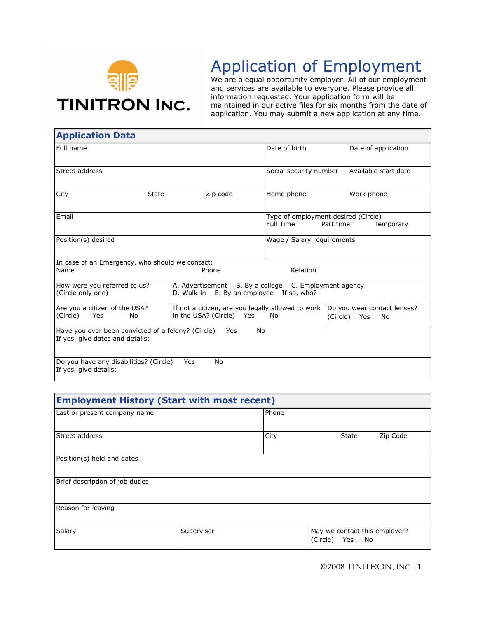

## Application of Employment

We are a equal opportunity employer. All of our employment and services are available to everyone. Please provide all information requested. Your application form will be maintained in our active files for six months from the date of application. You may submit a new application at any time.

| <b>Application Data</b>                                         |                                                                                                         |                                                  |                             |  |
|-----------------------------------------------------------------|---------------------------------------------------------------------------------------------------------|--------------------------------------------------|-----------------------------|--|
| Full name                                                       |                                                                                                         | Date of birth                                    | Date of application         |  |
| Street address                                                  |                                                                                                         | Social security number                           | Available start date        |  |
| City<br>State                                                   | Zip code                                                                                                | Home phone                                       | Work phone                  |  |
| Email                                                           |                                                                                                         | Type of employment desired (Circle)<br>Full Time | Part time<br>Temporary      |  |
| Position(s) desired                                             |                                                                                                         | Wage / Salary requirements                       |                             |  |
| In case of an Emergency, who should we contact:                 |                                                                                                         |                                                  |                             |  |
| Name                                                            | Phone                                                                                                   | Relation                                         |                             |  |
| How were you referred to us?<br>(Circle only one)               | A. Advertisement B. By a college C. Employment agency<br>D. Walk-in $E.$ By an employee $-$ If so, who? |                                                  |                             |  |
| Are you a citizen of the USA?                                   | If not a citizen, are you legally allowed to work                                                       |                                                  | Do you wear contact lenses? |  |
| (Circle)<br>Yes<br>No                                           | in the USA? (Circle) Yes                                                                                | No                                               | (Circle) Yes<br>No          |  |
| Have you ever been convicted of a felony? (Circle)              | No<br>Yes                                                                                               |                                                  |                             |  |
| If yes, give dates and details:                                 |                                                                                                         |                                                  |                             |  |
| Do you have any disabilities? (Circle)<br>If yes, give details: | No<br>Yes                                                                                               |                                                  |                             |  |

| <b>Employment History (Start with most recent)</b> |            |       |                                                        |          |
|----------------------------------------------------|------------|-------|--------------------------------------------------------|----------|
| Last or present company name                       |            | Phone |                                                        |          |
| Street address                                     |            | City  | State                                                  | Zip Code |
| Position(s) held and dates                         |            |       |                                                        |          |
| Brief description of job duties                    |            |       |                                                        |          |
| Reason for leaving                                 |            |       |                                                        |          |
| Salary                                             | Supervisor |       | May we contact this employer?<br>(Circle)<br>No<br>Yes |          |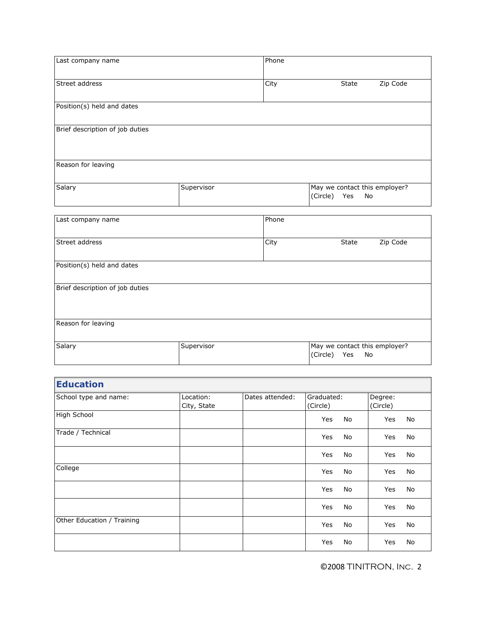| Last company name               |            | Phone |                                                        |  |
|---------------------------------|------------|-------|--------------------------------------------------------|--|
| Street address                  |            | City  | Zip Code<br>State                                      |  |
| Position(s) held and dates      |            |       |                                                        |  |
| Brief description of job duties |            |       |                                                        |  |
| Reason for leaving              |            |       |                                                        |  |
| Salary                          | Supervisor |       | May we contact this employer?<br>(Circle)<br>Yes<br>No |  |
| Last company name               |            | Phone |                                                        |  |
| Street address                  |            | City  | Zip Code<br>State                                      |  |
| Position(s) held and dates      |            |       |                                                        |  |
| Brief description of job duties |            |       |                                                        |  |
| Reason for leaving              |            |       |                                                        |  |
| Salary                          | Supervisor |       | May we contact this employer?<br>(Circle)<br>Yes<br>No |  |
|                                 |            |       |                                                        |  |

| <b>Education</b>           |                          |                 |                        |                     |
|----------------------------|--------------------------|-----------------|------------------------|---------------------|
| School type and name:      | Location:<br>City, State | Dates attended: | Graduated:<br>(Circle) | Degree:<br>(Circle) |
| High School                |                          |                 | Yes<br>No              | Yes<br>No           |
| Trade / Technical          |                          |                 | Yes<br>No              | Yes<br>No           |
|                            |                          |                 | No<br>Yes              | No<br>Yes           |
| College                    |                          |                 | Yes<br>No              | Yes<br>No           |
|                            |                          |                 | Yes<br>No              | Yes<br>No           |
|                            |                          |                 | Yes<br>No              | No<br>Yes           |
| Other Education / Training |                          |                 | Yes<br>No              | Yes<br>No           |
|                            |                          |                 | Yes<br>No              | Yes<br>No           |

©2008 TINITRON, Inc. 2